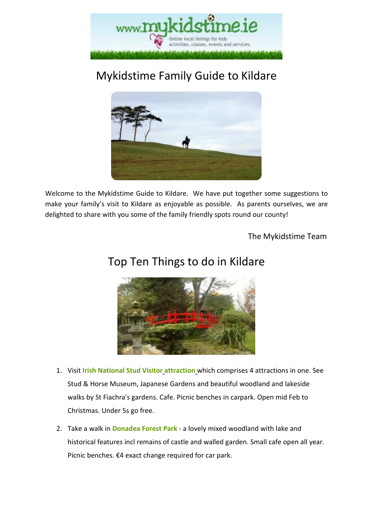

# Mykidstime Family Guide to Kildare



Welcome to the Mykidstime Guide to Kildare. We have put together some suggestions to make your family's visit to Kildare as enjoyable as possible. As parents ourselves, we are delighted to share with you some of the family friendly spots round our county!

The Mykidstime Team

# Top Ten Things to do in Kildare



- 1. Visit **Irish National Stud Visitor attraction** which comprises 4 attractions in one. See Stud & Horse Museum, Japanese Gardens and beautiful woodland and lakeside walks by St Fiachra's gardens. Cafe. Picnic benches in carpark. Open mid Feb to Christmas. Under 5s go free.
- 2. Take a walk in **Donadea Forest Park** a lovely mixed woodland with lake and historical features incl remains of castle and walled garden. Small cafe open all year. Picnic benches. €4 exact change required for car park.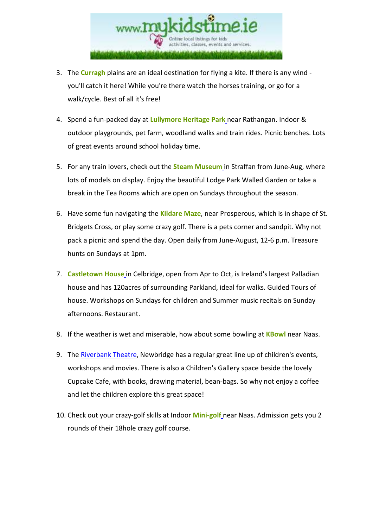

- 3. The **Curragh** plains are an ideal destination for flying a kite. If there is any wind you'll catch it here! While you're there watch the horses training, or go for a walk/cycle. Best of all it's free!
- 4. Spend a fun-packed day at **Lullymore Heritage Park** near Rathangan. Indoor & outdoor playgrounds, pet farm, woodland walks and train rides. Picnic benches. Lots of great events around school holiday time.
- 5. For any train lovers, check out the **Steam Museum** in Straffan from June-Aug, where lots of models on display. Enjoy the beautiful Lodge Park Walled Garden or take a break in the Tea Rooms which are open on Sundays throughout the season.
- 6. Have some fun navigating the **Kildare Maze**, near Prosperous, which is in shape of St. Bridgets Cross, or play some crazy golf. There is a pets corner and sandpit. Why not pack a picnic and spend the day. Open daily from June-August, 12-6 p.m. Treasure hunts on Sundays at 1pm.
- 7. **Castletown House** in Celbridge, open from Apr to Oct, is Ireland's largest Palladian house and has 120acres of surrounding Parkland, ideal for walks. Guided Tours of house. Workshops on Sundays for children and Summer music recitals on Sunday afternoons. Restaurant.
- 8. If the weather is wet and miserable, how about some bowling at **KBowl** near Naas.
- 9. The Riverbank Theatre, Newbridge has a regular great line up of children's events, workshops and movies. There is also a Children's Gallery space beside the lovely Cupcake Cafe, with books, drawing material, bean-bags. So why not enjoy a coffee and let the children explore this great space!
- 10. Check out your crazy-golf skills at Indoor **Mini-golf** near Naas. Admission gets you 2 rounds of their 18hole crazy golf course.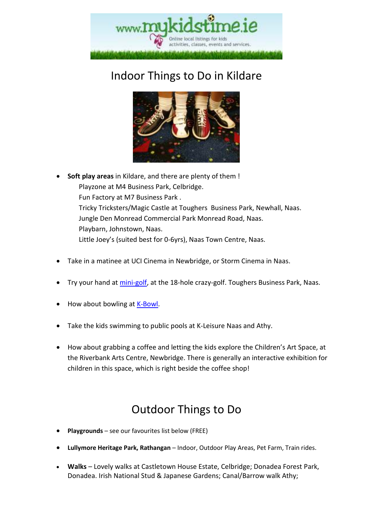

# Indoor Things to Do in Kildare



- **Soft play areas** in Kildare, and there are plenty of them ! Playzone at M4 Business Park, Celbridge. Fun Factory at M7 Business Park . Tricky Tricksters/Magic Castle at Toughers Business Park, Newhall, Naas. Jungle Den Monread Commercial Park Monread Road, Naas. Playbarn, Johnstown, Naas. Little Joey's (suited best for 0-6yrs), Naas Town Centre, Naas.
- Take in a matinee at UCI Cinema in Newbridge, or Storm Cinema in Naas.
- Try your hand at mini-golf, at the 18-hole crazy-golf. Toughers Business Park, Naas.
- How about bowling at K-Bowl.
- Take the kids swimming to public pools at K-Leisure Naas and Athy.
- How about grabbing a coffee and letting the kids explore the Children's Art Space, at the Riverbank Arts Centre, Newbridge. There is generally an interactive exhibition for children in this space, which is right beside the coffee shop!

# Outdoor Things to Do

- **Playgrounds** see our favourites list below (FREE)
- **Lullymore Heritage Park, Rathangan** Indoor, Outdoor Play Areas, Pet Farm, Train rides.
- **Walks** Lovely walks at Castletown House Estate, Celbridge; Donadea Forest Park, Donadea. Irish National Stud & Japanese Gardens; Canal/Barrow walk Athy;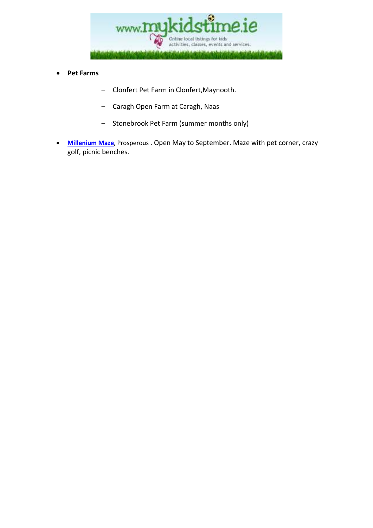

- **Pet Farms** 
	- Clonfert Pet Farm in Clonfert,Maynooth.
	- Caragh Open Farm at Caragh, Naas
	- Stonebrook Pet Farm (summer months only)
- **Millenium Maze**, Prosperous . Open May to September. Maze with pet corner, crazy golf, picnic benches.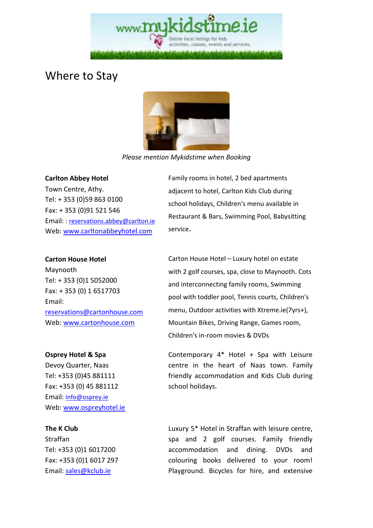Online local listings for kids activities, classes, events and services

### Where to Stay



*Please mention Mykidstime when Booking* 

### **Carlton Abbey Hotel**

Town Centre, Athy. Tel: + 353 (0)59 863 0100 Fax: + 353 (0)91 521 546 Email: : reservations.abbey@carlton.ie Web: www.carltonabbeyhotel.com

### **Carton House Hotel**

Maynooth Tel: + 353 (0)1 5052000 Fax: + 353 (0) 1 6517703 Email: reservations@cartonhouse.com Web: www.cartonhouse.com

### **Osprey Hotel & Spa**

Devoy Quarter, Naas Tel: +353 (0)45 881111 Fax: +353 (0) 45 881112 Email: info@osprey.ie Web: www.ospreyhotel.ie

### **The K Club**

Straffan Tel: +353 (0)1 6017200 Fax: +353 (0)1 6017 297 Email: sales@kclub.ie

Family rooms in hotel, 2 bed apartments adjacent to hotel, Carlton Kids Club during school holidays, Children's menu available in Restaurant & Bars, Swimming Pool, Babysitting service.

Carton House Hotel – Luxury hotel on estate with 2 golf courses, spa, close to Maynooth. Cots and interconnecting family rooms, Swimming pool with toddler pool, Tennis courts, Children's menu, Outdoor activities with Xtreme.ie(7yrs+), Mountain Bikes, Driving Range, Games room, Children's in-room movies & DVDs

Contemporary 4\* Hotel + Spa with Leisure centre in the heart of Naas town. Family friendly accommodation and Kids Club during school holidays.

Luxury 5\* Hotel in Straffan with leisure centre, spa and 2 golf courses. Family friendly accommodation and dining. DVDs and colouring books delivered to your room! Playground. Bicycles for hire, and extensive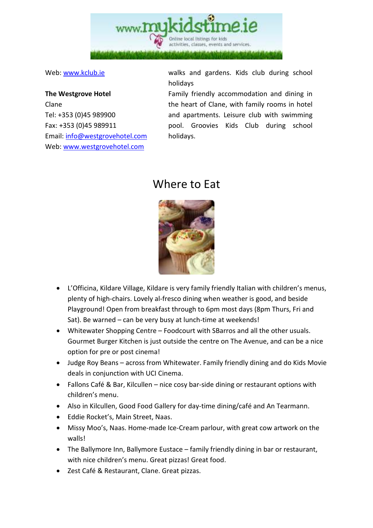

### **The Westgrove Hotel**  Clane Tel: +353 (0)45 989900 Fax: +353 (0)45 989911 Email: info@westgrovehotel.com Web: www.westgrovehotel.com

Web: www.kclub.ie walks and gardens. Kids club during school holidays

> Family friendly accommodation and dining in the heart of Clane, with family rooms in hotel and apartments. Leisure club with swimming pool. Groovies Kids Club during school holidays.

## Where to Eat



- L'Officina, Kildare Village, Kildare is very family friendly Italian with children's menus, plenty of high-chairs. Lovely al-fresco dining when weather is good, and beside Playground! Open from breakfast through to 6pm most days (8pm Thurs, Fri and Sat). Be warned – can be very busy at lunch-time at weekends!
- Whitewater Shopping Centre Foodcourt with SBarros and all the other usuals. Gourmet Burger Kitchen is just outside the centre on The Avenue, and can be a nice option for pre or post cinema!
- Judge Roy Beans across from Whitewater. Family friendly dining and do Kids Movie deals in conjunction with UCI Cinema.
- Fallons Café & Bar, Kilcullen nice cosy bar-side dining or restaurant options with children's menu.
- Also in Kilcullen, Good Food Gallery for day-time dining/café and An Tearmann.
- Eddie Rocket's, Main Street, Naas.
- Missy Moo's, Naas. Home-made Ice-Cream parlour, with great cow artwork on the walls!
- The Ballymore Inn, Ballymore Eustace family friendly dining in bar or restaurant, with nice children's menu. Great pizzas! Great food.
- Zest Café & Restaurant, Clane. Great pizzas.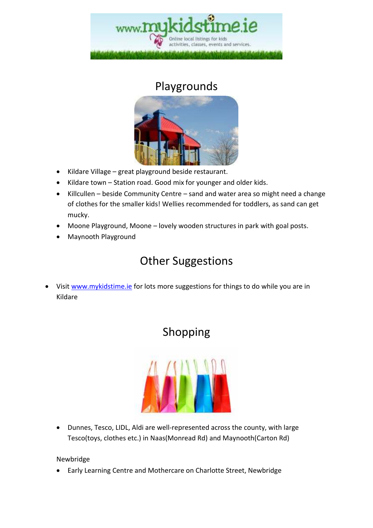

### Playgrounds



- Kildare Village great playground beside restaurant.
- Kildare town Station road. Good mix for younger and older kids.
- Killcullen beside Community Centre sand and water area so might need a change of clothes for the smaller kids! Wellies recommended for toddlers, as sand can get mucky.
- Moone Playground, Moone lovely wooden structures in park with goal posts.
- Maynooth Playground

# Other Suggestions

• Visit www.mykidstime.ie for lots more suggestions for things to do while you are in Kildare

# Shopping



• Dunnes, Tesco, LIDL, Aldi are well-represented across the county, with large Tesco(toys, clothes etc.) in Naas(Monread Rd) and Maynooth(Carton Rd)

### Newbridge

• Early Learning Centre and Mothercare on Charlotte Street, Newbridge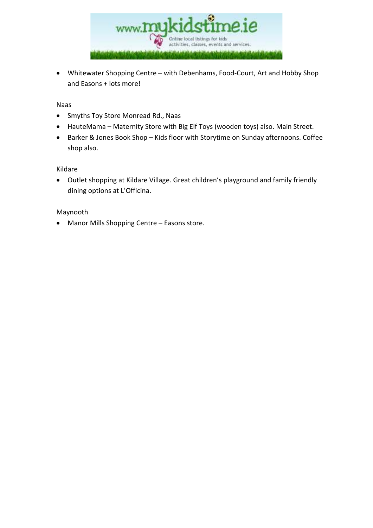

• Whitewater Shopping Centre – with Debenhams, Food-Court, Art and Hobby Shop and Easons + lots more!

#### Naas

- Smyths Toy Store Monread Rd., Naas
- HauteMama Maternity Store with Big Elf Toys (wooden toys) also. Main Street.
- Barker & Jones Book Shop Kids floor with Storytime on Sunday afternoons. Coffee shop also.

### Kildare

• Outlet shopping at Kildare Village. Great children's playground and family friendly dining options at L'Officina.

### Maynooth

• Manor Mills Shopping Centre – Easons store.